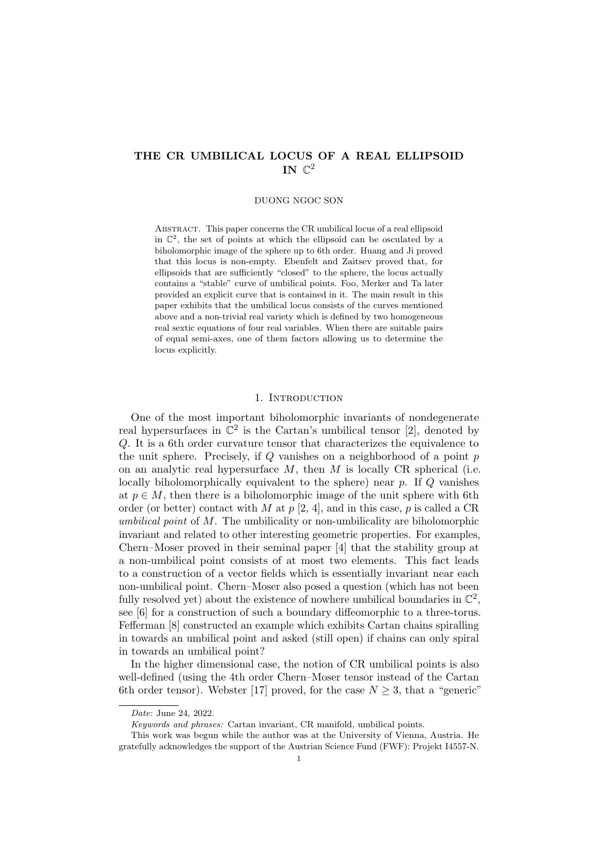# THE CR UMBILICAL LOCUS OF A REAL ELLIPSOID IN  $\mathbb{C}^2$

### DUONG NGOC SON

Abstract. This paper concerns the CR umbilical locus of a real ellipsoid in  $\mathbb{C}^2$ , the set of points at which the ellipsoid can be osculated by a biholomorphic image of the sphere up to 6th order. Huang and Ji proved that this locus is non-empty. Ebenfelt and Zaitsev proved that, for ellipsoids that are sufficiently "closed" to the sphere, the locus actually contains a "stable" curve of umbilical points. Foo, Merker and Ta later provided an explicit curve that is contained in it. The main result in this paper exhibits that the umbilical locus consists of the curves mentioned above and a non-trivial real variety which is defined by two homogeneous real sextic equations of four real variables. When there are suitable pairs of equal semi-axes, one of them factors allowing us to determine the locus explicitly.

### 1. Introduction

One of the most important biholomorphic invariants of nondegenerate real hypersurfaces in  $\mathbb{C}^2$  is the Cartan's umbilical tensor [2], denoted by Q. It is a 6th order curvature tensor that characterizes the equivalence to the unit sphere. Precisely, if  $Q$  vanishes on a neighborhood of a point  $p$ on an analytic real hypersurface  $M$ , then  $M$  is locally CR spherical (i.e. locally biholomorphically equivalent to the sphere) near  $p$ . If  $Q$  vanishes at  $p \in M$ , then there is a biholomorphic image of the unit sphere with 6th order (or better) contact with M at  $p$  [2, 4], and in this case,  $p$  is called a CR umbilical point of M. The umbilicality or non-umbilicality are biholomorphic invariant and related to other interesting geometric properties. For examples, Chern–Moser proved in their seminal paper [4] that the stability group at a non-umbilical point consists of at most two elements. This fact leads to a construction of a vector fields which is essentially invariant near each non-umbilical point. Chern–Moser also posed a question (which has not been fully resolved yet) about the existence of nowhere umbilical boundaries in  $\mathbb{C}^2$ , see [6] for a construction of such a boundary diffeomorphic to a three-torus. Fefferman [8] constructed an example which exhibits Cartan chains spiralling in towards an umbilical point and asked (still open) if chains can only spiral in towards an umbilical point?

In the higher dimensional case, the notion of CR umbilical points is also well-defined (using the 4th order Chern–Moser tensor instead of the Cartan 6th order tensor). Webster [17] proved, for the case  $N \geq 3$ , that a "generic"

Date: June 24, 2022.

Keywords and phrases: Cartan invariant, CR manifold, umbilical points.

This work was begun while the author was at the University of Vienna, Austria. He gratefully acknowledges the support of the Austrian Science Fund (FWF): Projekt I4557-N.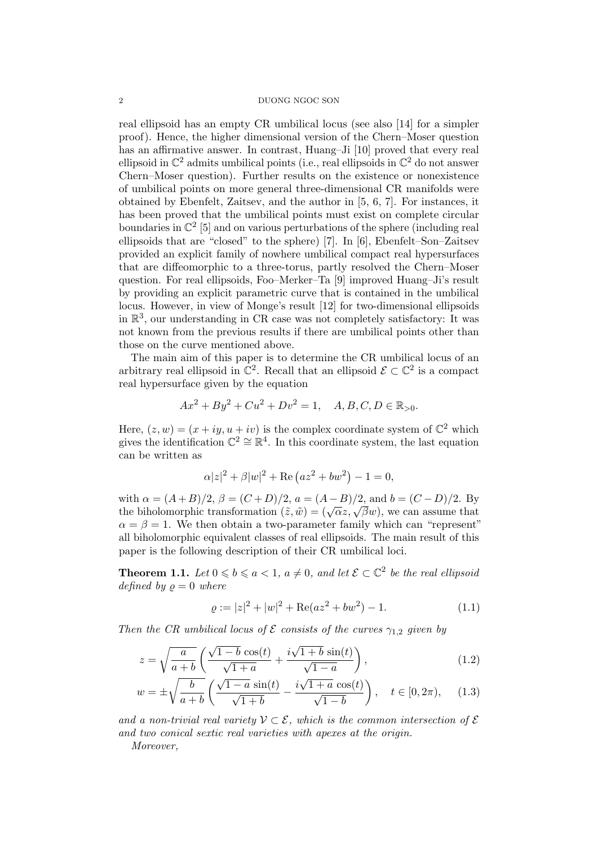real ellipsoid has an empty CR umbilical locus (see also [14] for a simpler proof). Hence, the higher dimensional version of the Chern–Moser question has an affirmative answer. In contrast, Huang–Ji [10] proved that every real ellipsoid in  $\mathbb{C}^2$  admits umbilical points (i.e., real ellipsoids in  $\mathbb{C}^2$  do not answer Chern–Moser question). Further results on the existence or nonexistence of umbilical points on more general three-dimensional CR manifolds were obtained by Ebenfelt, Zaitsev, and the author in [5, 6, 7]. For instances, it has been proved that the umbilical points must exist on complete circular boundaries in  $\mathbb{C}^2$  [5] and on various perturbations of the sphere (including real ellipsoids that are "closed" to the sphere) [7]. In [6], Ebenfelt–Son–Zaitsev provided an explicit family of nowhere umbilical compact real hypersurfaces that are diffeomorphic to a three-torus, partly resolved the Chern–Moser question. For real ellipsoids, Foo–Merker–Ta [9] improved Huang–Ji's result by providing an explicit parametric curve that is contained in the umbilical locus. However, in view of Monge's result [12] for two-dimensional ellipsoids in R 3 , our understanding in CR case was not completely satisfactory: It was not known from the previous results if there are umbilical points other than those on the curve mentioned above.

The main aim of this paper is to determine the CR umbilical locus of an arbitrary real ellipsoid in  $\mathbb{C}^2$ . Recall that an ellipsoid  $\mathcal{E} \subset \mathbb{C}^2$  is a compact real hypersurface given by the equation

$$
Ax^{2} + By^{2} + Cu^{2} + Dv^{2} = 1, \quad A, B, C, D \in \mathbb{R}_{>0}.
$$

Here,  $(z, w) = (x + iy, u + iv)$  is the complex coordinate system of  $\mathbb{C}^2$  which gives the identification  $\mathbb{C}^2 \cong \mathbb{R}^4$ . In this coordinate system, the last equation can be written as

$$
\alpha |z|^2 + \beta |w|^2 + \text{Re} (az^2 + bw^2) - 1 = 0,
$$

with  $\alpha = (A + B)/2$ ,  $\beta = (C + D)/2$ ,  $a = (A - B)/2$ , and  $b = (C - D)/2$ . By with  $\alpha = (A + B)/2$ ,  $\rho = (C + D)/2$ ,  $a = (A - B)/2$ , and  $b = (C - D)/2$ . By<br>the biholomorphic transformation  $(\tilde{z}, \tilde{w}) = (\sqrt{\alpha}z, \sqrt{\beta}w)$ , we can assume that  $\alpha = \beta = 1$ . We then obtain a two-parameter family which can "represent" all biholomorphic equivalent classes of real ellipsoids. The main result of this paper is the following description of their CR umbilical loci.

**Theorem 1.1.** Let  $0 \leq b \leq a < 1$ ,  $a \neq 0$ , and let  $\mathcal{E} \subset \mathbb{C}^2$  be the real ellipsoid defined by  $\rho = 0$  where

$$
\varrho := |z|^2 + |w|^2 + \text{Re}(az^2 + bw^2) - 1. \tag{1.1}
$$

Then the CR umbilical locus of  $\mathcal E$  consists of the curves  $\gamma_{1,2}$  given by

$$
z = \sqrt{\frac{a}{a+b}} \left( \frac{\sqrt{1-b} \cos(t)}{\sqrt{1+a}} + \frac{i\sqrt{1+b} \sin(t)}{\sqrt{1-a}} \right),\tag{1.2}
$$

$$
w = \pm \sqrt{\frac{b}{a+b}} \left( \frac{\sqrt{1-a} \sin(t)}{\sqrt{1+b}} - \frac{i\sqrt{1+a} \cos(t)}{\sqrt{1-b}} \right), \quad t \in [0, 2\pi), \quad (1.3)
$$

and a non-trivial real variety  $\mathcal{V} \subset \mathcal{E}$ , which is the common intersection of  $\mathcal{E}$ and two conical sextic real varieties with apexes at the origin.

Moreover,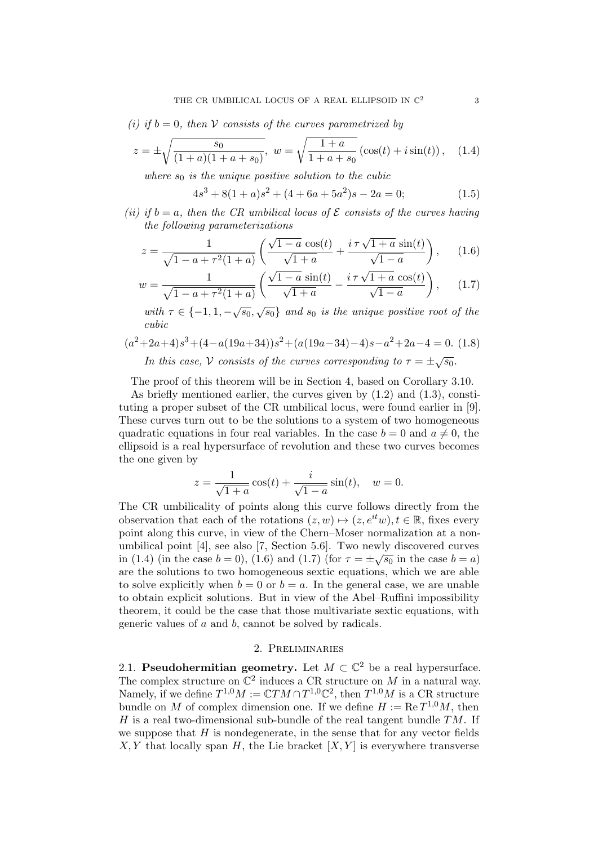(i) if  $b = 0$ , then V consists of the curves parametrized by

$$
z = \pm \sqrt{\frac{s_0}{(1+a)(1+a+s_0)}}, \ w = \sqrt{\frac{1+a}{1+a+s_0}} (\cos(t) + i\sin(t)), \quad (1.4)
$$

where  $s_0$  is the unique positive solution to the cubic

 $4s<sup>3</sup> + 8(1+a)s<sup>2</sup> + (4+6a+5a<sup>2</sup>)s - 2a = 0;$  (1.5)

(ii) if  $b = a$ , then the CR umbilical locus of  $\mathcal E$  consists of the curves having the following parameterizations

$$
z = \frac{1}{\sqrt{1 - a + \tau^2 (1 + a)}} \left( \frac{\sqrt{1 - a} \cos(t)}{\sqrt{1 + a}} + \frac{i \tau \sqrt{1 + a} \sin(t)}{\sqrt{1 - a}} \right), \quad (1.6)
$$

$$
w = \frac{1}{\sqrt{1 - a + \tau^2 (1 + a)}} \left( \frac{\sqrt{1 - a} \sin(t)}{\sqrt{1 + a}} - \frac{i \tau \sqrt{1 + a} \cos(t)}{\sqrt{1 - a}} \right), \quad (1.7)
$$

with  $\tau \in \{-1, 1, -\sqrt{s_0}, \sqrt{s_0}\}\$  and  $s_0$  is the unique positive root of the cubic

$$
(a^{2}+2a+4)s^{3}+(4-a(19a+34))s^{2}+(a(19a-34)-4)s-a^{2}+2a-4=0.
$$
 (1.8)

In this case, V consists of the curves corresponding to 
$$
\tau = \pm \sqrt{s_0}
$$
.

The proof of this theorem will be in Section 4, based on Corollary 3.10.

As briefly mentioned earlier, the curves given by  $(1.2)$  and  $(1.3)$ , constituting a proper subset of the CR umbilical locus, were found earlier in [9]. These curves turn out to be the solutions to a system of two homogeneous quadratic equations in four real variables. In the case  $b = 0$  and  $a \neq 0$ , the ellipsoid is a real hypersurface of revolution and these two curves becomes the one given by

$$
z = \frac{1}{\sqrt{1+a}}\cos(t) + \frac{i}{\sqrt{1-a}}\sin(t), \quad w = 0.
$$

The CR umbilicality of points along this curve follows directly from the observation that each of the rotations  $(z, w) \mapsto (z, e^{it}w), t \in \mathbb{R}$ , fixes every point along this curve, in view of the Chern–Moser normalization at a nonumbilical point [4], see also [7, Section 5.6]. Two newly discovered curves in (1.4) (in the case  $b = 0$ ), (1.6) and (1.7) (for  $\tau = \pm \sqrt{s_0}$  in the case  $b = a$ ) are the solutions to two homogeneous sextic equations, which we are able to solve explicitly when  $b = 0$  or  $b = a$ . In the general case, we are unable to obtain explicit solutions. But in view of the Abel–Ruffini impossibility theorem, it could be the case that those multivariate sextic equations, with generic values of a and b, cannot be solved by radicals.

### 2. Preliminaries

2.1. Pseudohermitian geometry. Let  $M \subset \mathbb{C}^2$  be a real hypersurface. The complex structure on  $\mathbb{C}^2$  induces a CR structure on M in a natural way. Namely, if we define  $T^{1,0}M := \mathbb{C}TM \cap T^{1,0}\mathbb{C}^2$ , then  $T^{1,0}M$  is a CR structure bundle on M of complex dimension one. If we define  $H := \text{Re } T^{1,0}M$ , then H is a real two-dimensional sub-bundle of the real tangent bundle  $TM$ . If we suppose that  $H$  is nondegenerate, in the sense that for any vector fields  $X, Y$  that locally span H, the Lie bracket  $[X, Y]$  is everywhere transverse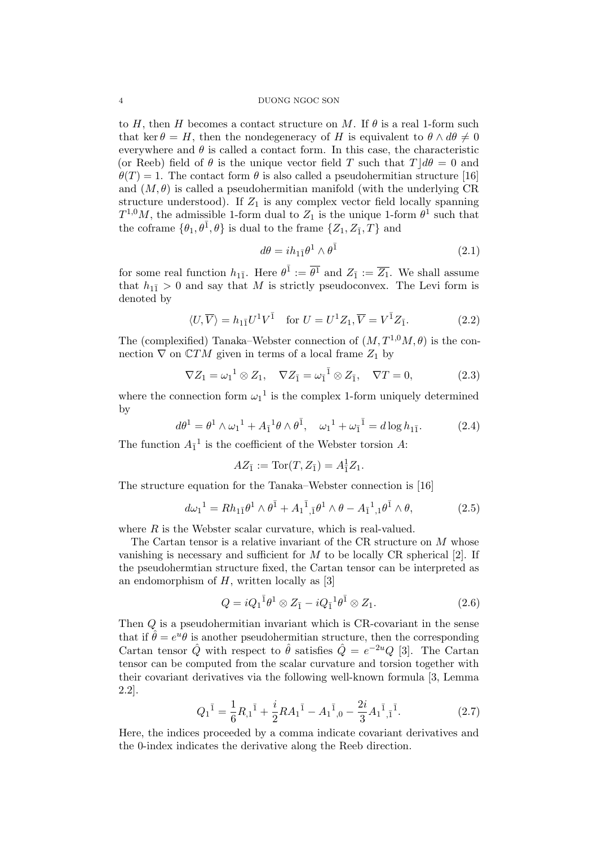to H, then H becomes a contact structure on M. If  $\theta$  is a real 1-form such that ker  $\theta = H$ , then the nondegeneracy of H is equivalent to  $\theta \wedge d\theta \neq 0$ everywhere and  $\theta$  is called a contact form. In this case, the characteristic (or Reeb) field of  $\theta$  is the unique vector field T such that  $T|\,d\theta=0$  and  $\theta(T) = 1$ . The contact form  $\theta$  is also called a pseudohermitian structure [16] and  $(M, \theta)$  is called a pseudohermitian manifold (with the underlying CR structure understood). If  $Z_1$  is any complex vector field locally spanning  $T^{1,0}M$ , the admissible 1-form dual to  $Z_1$  is the unique 1-form  $\theta^1$  such that the coframe  $\{\theta_1, \theta^{\bar{1}}, \theta\}$  is dual to the frame  $\{Z_1, Z_{\bar{1}}, T\}$  and

$$
d\theta = i h_{1\bar{1}} \theta^1 \wedge \theta^{\bar{1}} \tag{2.1}
$$

for some real function  $h_{1\bar{1}}$ . Here  $\theta^{\bar{1}} := \overline{\theta^1}$  and  $Z_{\bar{1}} := \overline{Z_1}$ . We shall assume that  $h_{1\bar{1}} > 0$  and say that M is strictly pseudoconvex. The Levi form is denoted by

$$
\langle U, \overline{V} \rangle = h_{1\overline{1}} U^1 V^{\overline{1}} \quad \text{for } U = U^1 Z_1, \overline{V} = V^{\overline{1}} Z_{\overline{1}}.
$$
 (2.2)

The (complexified) Tanaka–Webster connection of  $(M, T^{1,0}M, \theta)$  is the connection  $\nabla$  on  $\mathbb{C}TM$  given in terms of a local frame  $Z_1$  by

$$
\nabla Z_1 = \omega_1^1 \otimes Z_1, \quad \nabla Z_{\bar{1}} = \omega_{\bar{1}}^{\bar{1}} \otimes Z_{\bar{1}}, \quad \nabla T = 0,
$$
\n(2.3)

where the connection form  $\omega_1^1$  is the complex 1-form uniquely determined by

$$
d\theta^{1} = \theta^{1} \wedge \omega_{1}^{1} + A_{1}^{1} \theta \wedge \theta^{\bar{1}}, \quad \omega_{1}^{1} + \omega_{\bar{1}}^{1} = d \log h_{1\bar{1}}.
$$
 (2.4)

The function  $A_{\bar{1}}^1$  is the coefficient of the Webster torsion A:

$$
AZ_{\bar{1}} := \text{Tor}(T, Z_{\bar{1}}) = A_{\bar{1}}^{\bar{1}}Z_1.
$$

The structure equation for the Tanaka–Webster connection is [16]

$$
d\omega_1^1 = Rh_{1\bar{1}}\theta^1 \wedge \theta^{\bar{1}} + A_1^{\bar{1}}_{,\bar{1}}\theta^1 \wedge \theta - A_{\bar{1}}^{\bar{1}}_{,\bar{1}}\theta^{\bar{1}} \wedge \theta, \qquad (2.5)
$$

where  $R$  is the Webster scalar curvature, which is real-valued.

The Cartan tensor is a relative invariant of the CR structure on M whose vanishing is necessary and sufficient for  $M$  to be locally CR spherical [2]. If the pseudohermtian structure fixed, the Cartan tensor can be interpreted as an endomorphism of  $H$ , written locally as [3]

$$
Q = iQ_1^{\bar{1}}\theta^1 \otimes Z_{\bar{1}} - iQ_{\bar{1}}^{\bar{1}}\theta^{\bar{1}} \otimes Z_1.
$$
 (2.6)

Then Q is a pseudohermitian invariant which is CR-covariant in the sense that if  $\hat{\theta} = e^u \theta$  is another pseudohermitian structure, then the corresponding Cartan tensor  $\hat{Q}$  with respect to  $\hat{\theta}$  satisfies  $\hat{Q} = e^{-2u}Q$  [3]. The Cartan tensor can be computed from the scalar curvature and torsion together with their covariant derivatives via the following well-known formula [3, Lemma 2.2].

$$
Q_1^{\bar{1}} = \frac{1}{6}R_{,1}^{\bar{1}} + \frac{i}{2}RA_1^{\bar{1}} - A_1^{\bar{1}}_{,0} - \frac{2i}{3}A_1^{\bar{1}}_{,1}^{\bar{1}}.
$$
 (2.7)

Here, the indices proceeded by a comma indicate covariant derivatives and the 0-index indicates the derivative along the Reeb direction.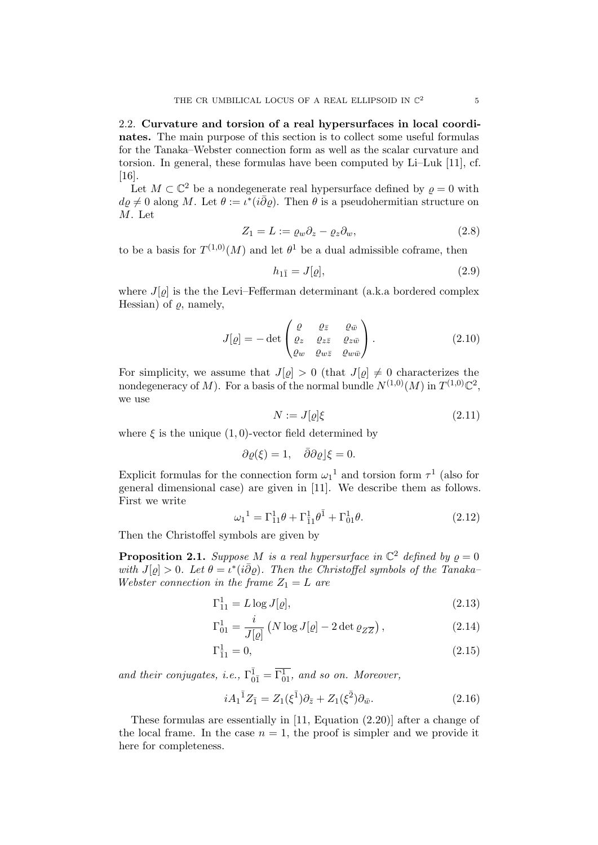2.2. Curvature and torsion of a real hypersurfaces in local coordinates. The main purpose of this section is to collect some useful formulas for the Tanaka–Webster connection form as well as the scalar curvature and torsion. In general, these formulas have been computed by Li–Luk [11], cf. [16].

Let  $M \subset \mathbb{C}^2$  be a nondegenerate real hypersurface defined by  $\varrho = 0$  with  $d\varrho \neq 0$  along M. Let  $\theta := \iota^*(i\bar{\partial}\varrho)$ . Then  $\theta$  is a pseudohermitian structure on M. Let

$$
Z_1 = L := \varrho_w \partial_z - \varrho_z \partial_w,\tag{2.8}
$$

to be a basis for  $T^{(1,0)}(M)$  and let  $\theta^1$  be a dual admissible coframe, then

$$
h_{1\bar{1}} = J[\varrho],\tag{2.9}
$$

where  $J[\rho]$  is the the Levi–Fefferman determinant (a.k.a bordered complex Hessian) of  $\rho$ , namely,

$$
J[\varrho] = -\det \begin{pmatrix} \varrho & \varrho_{\bar{z}} & \varrho_{\bar{w}} \\ \varrho_{z} & \varrho_{z\bar{z}} & \varrho_{z\bar{w}} \\ \varrho_{w} & \varrho_{w\bar{z}} & \varrho_{w\bar{w}} \end{pmatrix}.
$$
 (2.10)

For simplicity, we assume that  $J[\varrho] > 0$  (that  $J[\varrho] \neq 0$  characterizes the nondegeneracy of M). For a basis of the normal bundle  $N^{(1,0)}(M)$  in  $T^{(1,0)}\mathbb{C}^2$ , we use

$$
N := J[\varrho] \xi \tag{2.11}
$$

where  $\xi$  is the unique  $(1, 0)$ -vector field determined by

$$
\partial \varrho(\xi) = 1, \quad \bar{\partial}\partial \varrho|\xi = 0.
$$

Explicit formulas for the connection form  $\omega_1^1$  and torsion form  $\tau^1$  (also for general dimensional case) are given in [11]. We describe them as follows. First we write

$$
\omega_1^1 = \Gamma_{11}^1 \theta + \Gamma_{\bar{1}1}^1 \theta^{\bar{1}} + \Gamma_{01}^1 \theta.
$$
 (2.12)

Then the Christoffel symbols are given by

**Proposition 2.1.** Suppose M is a real hypersurface in  $\mathbb{C}^2$  defined by  $\varrho = 0$ with  $J[\varrho] > 0$ . Let  $\theta = i^*(i\overline{\partial}\varrho)$ . Then the Christoffel symbols of the Tanaka-Webster connection in the frame  $Z_1 = L$  are

$$
\Gamma_{11}^1 = L \log J[\varrho],\tag{2.13}
$$

$$
\Gamma_{01}^{1} = \frac{i}{J[\varrho]} \left( N \log J[\varrho] - 2 \det \varrho_{Z\overline{Z}} \right),\tag{2.14}
$$

$$
\Gamma_{11}^1 = 0,\tag{2.15}
$$

and their conjugates, i.e.,  $\Gamma_{0\bar{1}}^{\bar{1}} = \overline{\Gamma_{01}}^{\bar{1}}$ , and so on. Moreover,

$$
iA_1^{\bar{1}}Z_{\bar{1}} = Z_1(\xi^{\bar{1}})\partial_{\bar{z}} + Z_1(\xi^{\bar{2}})\partial_{\bar{w}}.
$$
\n(2.16)

These formulas are essentially in [11, Equation (2.20)] after a change of the local frame. In the case  $n = 1$ , the proof is simpler and we provide it here for completeness.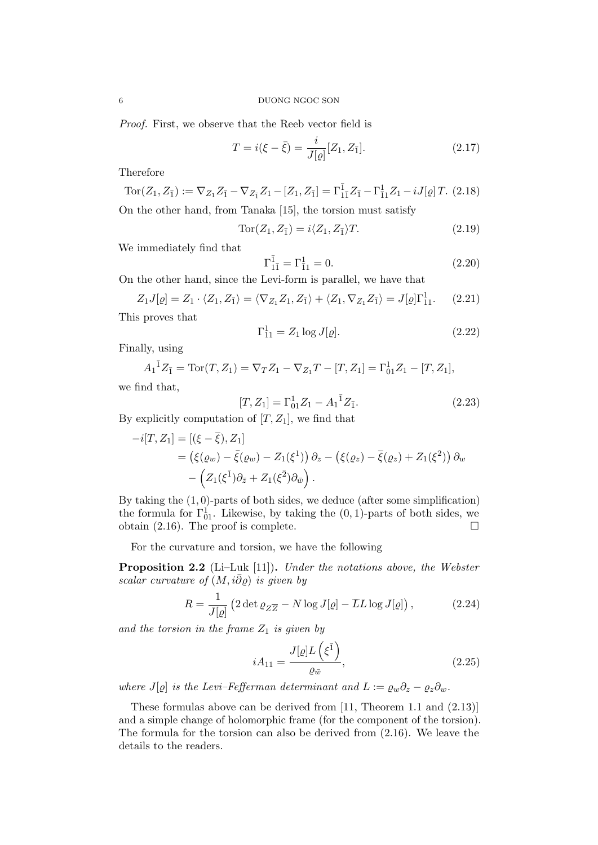Proof. First, we observe that the Reeb vector field is

$$
T = i(\xi - \bar{\xi}) = \frac{i}{J[\varrho]} [Z_1, Z_{\bar{1}}].
$$
\n(2.17)

Therefore

$$
\operatorname{Tor}(Z_1, Z_{\bar{1}}) := \nabla_{Z_1} Z_{\bar{1}} - \nabla_{Z_{\bar{1}}} Z_1 - [Z_1, Z_{\bar{1}}] = \Gamma_{1\bar{1}}^{\bar{1}} Z_{\bar{1}} - \Gamma_{11}^{\bar{1}} Z_1 - i J[\varrho] T. \tag{2.18}
$$
\nOn the other hand, from Tansks [15] the torsion must satisfy

On the other hand, from Tanaka [15], the torsion must satisfy

$$
Tor(Z_1, Z_{\bar{1}}) = i \langle Z_1, Z_{\bar{1}} \rangle T.
$$
\n(2.19)

We immediately find that

$$
\Gamma_{1\bar{1}}^{\bar{1}} = \Gamma_{\bar{1}1}^{\bar{1}} = 0. \tag{2.20}
$$

On the other hand, since the Levi-form is parallel, we have that

$$
Z_1 J[\varrho] = Z_1 \cdot \langle Z_1, Z_{\bar{1}} \rangle = \langle \nabla_{Z_1} Z_1, Z_{\bar{1}} \rangle + \langle Z_1, \nabla_{Z_1} Z_{\bar{1}} \rangle = J[\varrho] \Gamma_{11}^1. \tag{2.21}
$$

This proves that

$$
\Gamma_{11}^1 = Z_1 \log J[\varrho]. \tag{2.22}
$$

Finally, using

$$
A_1^{\bar{1}}Z_{\bar{1}} = \text{Tor}(T, Z_1) = \nabla_T Z_1 - \nabla_{Z_1} T - [T, Z_1] = \Gamma_{01}^1 Z_1 - [T, Z_1],
$$

we find that,

$$
[T, Z_1] = \Gamma_{01}^1 Z_1 - A_1^{\bar{1}} Z_{\bar{1}}.
$$
\n2.23

\n2.24, we find that

By explicitly computation of 
$$
[T,Z_1]
$$
, we find that

$$
i[T, Z_1] = [(\xi - \overline{\xi}), Z_1] = (\xi(\varrho_w) - \overline{\xi}(\varrho_w) - Z_1(\xi^1)) \partial_z - (\xi(\varrho_z) - \overline{\xi}(\varrho_z) + Z_1(\xi^2)) \partial_w - (Z_1(\xi^1) \partial_{\overline{z}} + Z_1(\xi^2) \partial_{\overline{w}}).
$$

By taking the  $(1, 0)$ -parts of both sides, we deduce (after some simplification) the formula for  $\Gamma_{01}^1$ . Likewise, by taking the  $(0,1)$ -parts of both sides, we obtain (2.16). The proof is complete.  $\Box$ 

For the curvature and torsion, we have the following

Proposition 2.2 (Li–Luk [11]). Under the notations above, the Webster scalar curvature of  $(M, i\bar{\partial}\rho)$  is given by

$$
R = \frac{1}{J[\varrho]} \left( 2 \det \varrho_{Z\overline{Z}} - N \log J[\varrho] - \overline{L}L \log J[\varrho] \right),\tag{2.24}
$$

and the torsion in the frame  $Z_1$  is given by

$$
iA_{11} = \frac{J[\varrho]L\left(\xi^{\bar{1}}\right)}{\varrho_{\bar{w}}},\tag{2.25}
$$

where J[ $\varrho$ ] is the Levi–Fefferman determinant and  $L := \varrho_w \partial_z - \varrho_z \partial_w$ .

These formulas above can be derived from [11, Theorem 1.1 and (2.13)] and a simple change of holomorphic frame (for the component of the torsion). The formula for the torsion can also be derived from (2.16). We leave the details to the readers.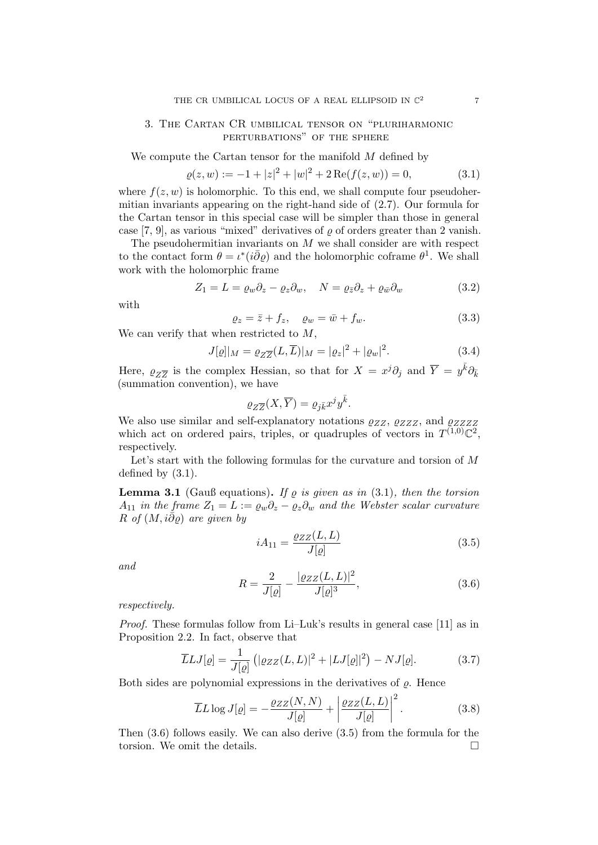## 3. The Cartan CR umbilical tensor on "pluriharmonic perturbations" of the sphere

We compute the Cartan tensor for the manifold M defined by

$$
\varrho(z, w) := -1 + |z|^2 + |w|^2 + 2 \operatorname{Re}(f(z, w)) = 0,\tag{3.1}
$$

where  $f(z, w)$  is holomorphic. To this end, we shall compute four pseudohermitian invariants appearing on the right-hand side of (2.7). Our formula for the Cartan tensor in this special case will be simpler than those in general case [7, 9], as various "mixed" derivatives of  $\rho$  of orders greater than 2 vanish.

The pseudohermitian invariants on  $M$  we shall consider are with respect to the contact form  $\theta = \iota^*(i\overline{\partial}\varrho)$  and the holomorphic coframe  $\theta^1$ . We shall work with the holomorphic frame

$$
Z_1 = L = \varrho_w \partial_z - \varrho_z \partial_w, \quad N = \varrho_{\bar{z}} \partial_z + \varrho_{\bar{w}} \partial_w \tag{3.2}
$$

with

$$
\varrho_z = \bar{z} + f_z, \quad \varrho_w = \bar{w} + f_w. \tag{3.3}
$$

We can verify that when restricted to M,

$$
J[\varrho]|_M = \varrho_{Z\overline{Z}}(L,\overline{L})|_M = |\varrho_z|^2 + |\varrho_w|^2. \tag{3.4}
$$

Here,  $\varrho_{Z\overline{Z}}$  is the complex Hessian, so that for  $X = x^j \partial_j$  and  $\overline{Y} = y^{\overline{k}} \partial_{\overline{k}}$ (summation convention), we have

$$
\varrho_{Z\overline{Z}}(X,\overline{Y})=\varrho_{j\bar k}x^jy^{\bar k}.
$$

We also use similar and self-explanatory notations  $\varrho_{ZZ}$ ,  $\varrho_{ZZZ}$ , and  $\varrho_{ZZZZ}$ which act on ordered pairs, triples, or quadruples of vectors in  $T^{(1,0)}\mathbb{C}^2$ , respectively.

Let's start with the following formulas for the curvature and torsion of M defined by (3.1).

**Lemma 3.1** (Gauß equations). If  $\rho$  is given as in (3.1), then the torsion  $A_{11}$  in the frame  $Z_1 = L := \varrho_w \partial_z - \varrho_z \partial_w$  and the Webster scalar curvature R of  $(M, i\partial \varrho)$  are given by

$$
iA_{11} = \frac{\varrho_{ZZ}(L, L)}{J[\varrho]}
$$
\n(3.5)

and

$$
R = \frac{2}{J[\varrho]} - \frac{|\varrho_{ZZ}(L, L)|^2}{J[\varrho]^3},\tag{3.6}
$$

respectively.

*Proof.* These formulas follow from Li–Luk's results in general case [11] as in Proposition 2.2. In fact, observe that

$$
\overline{L}LJ[\varrho] = \frac{1}{J[\varrho]} \left( |\varrho_{ZZ}(L,L)|^2 + |LJ[\varrho]|^2 \right) - NJ[\varrho]. \tag{3.7}
$$

Both sides are polynomial expressions in the derivatives of  $\rho$ . Hence

$$
\overline{L}L \log J[\varrho] = -\frac{\varrho_{ZZ}(N,N)}{J[\varrho]} + \left| \frac{\varrho_{ZZ}(L,L)}{J[\varrho]} \right|^2.
$$
\n(3.8)

Then (3.6) follows easily. We can also derive (3.5) from the formula for the torsion. We omit the details.  $\Box$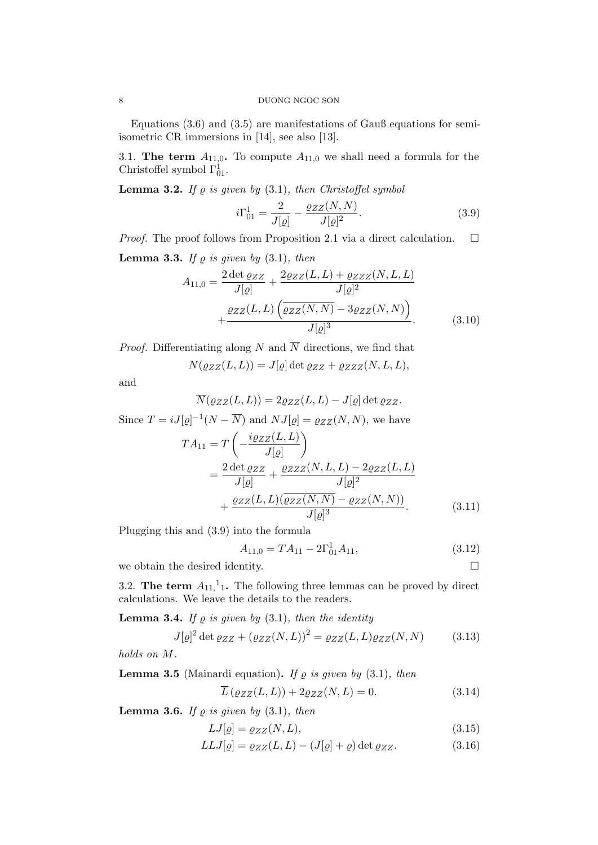Equations (3.6) and (3.5) are manifestations of Gauß equations for semiisometric CR immersions in [14], see also [13].

3.1. The term  $A_{11,0}$ . To compute  $A_{11,0}$  we shall need a formula for the Christoffel symbol  $\Gamma_{01}^1$ .

**Lemma 3.2.** If  $\varrho$  is given by (3.1), then Christoffel symbol

$$
i\Gamma_{01}^{1} = \frac{2}{J[\varrho]} - \frac{\varrho_{ZZ}(N, N)}{J[\varrho]^{2}}.
$$
\n(3.9)

*Proof.* The proof follows from Proposition 2.1 via a direct calculation.  $\Box$ 

**Lemma 3.3.** If  $\varrho$  is given by (3.1), then

$$
A_{11,0} = \frac{2 \det \varrho_{ZZ}}{J[\varrho]} + \frac{2\varrho_{ZZ}(L,L) + \varrho_{ZZ}(N,L,L)}{J[\varrho]^2} + \frac{\varrho_{ZZ}(L,L) \left(\overline{\varrho_{ZZ}(N,N)} - 3\varrho_{ZZ}(N,N)\right)}{J[\varrho]^3}.
$$
(3.10)

*Proof.* Differentiating along N and  $\overline{N}$  directions, we find that

$$
N(\varrho_{ZZ}(L,L)) = J[\varrho] \det \varrho_{ZZ} + \varrho_{ZZZ}(N,L,L),
$$

and

$$
\overline{N}(\varrho_{ZZ}(L,L)) = 2\varrho_{ZZ}(L,L) - J[\varrho] \det \varrho_{ZZ}.
$$

Since 
$$
T = iJ[\varrho]^{-1}(N - \overline{N})
$$
 and  $NJ[\varrho] = \varrho_{ZZ}(N, N)$ , we have  
\n
$$
TA_{11} = T\left(-\frac{i\varrho_{ZZ}(L, L)}{J[\varrho]}\right)
$$
\n
$$
= \frac{2 \det \varrho_{ZZ}}{J[\varrho]} + \frac{\varrho_{ZZZ}(N, L, L) - 2\varrho_{ZZ}(L, L)}{J[\varrho]^2}
$$
\n
$$
+ \frac{\varrho_{ZZ}(L, L)(\overline{\varrho_{ZZ}(N, N)} - \varrho_{ZZ}(N, N))}{J[\varrho]^3}.
$$

Plugging this and (3.9) into the formula

$$
A_{11,0} = T A_{11} - 2\Gamma_{01}^{1} A_{11}, \tag{3.12}
$$

 $(3.11)$ 

we obtain the desired identity.  $\Box$ 

3.2. The term  $A_{11}$ , 1. The following three lemmas can be proved by direct calculations. We leave the details to the readers.

**Lemma 3.4.** If  $\varrho$  is given by (3.1), then the identity

$$
J[\varrho]^2 \det \varrho_{ZZ} + (\varrho_{ZZ}(N,L))^2 = \varrho_{ZZ}(L,L)\varrho_{ZZ}(N,N) \tag{3.13}
$$

holds on M.

**Lemma 3.5** (Mainardi equation). If  $\varrho$  is given by (3.1), then

$$
\overline{L}(\varrho_{ZZ}(L,L)) + 2\varrho_{ZZ}(N,L) = 0.
$$
\n(3.14)

**Lemma 3.6.** If  $\varrho$  is given by (3.1), then

$$
LJ[\varrho] = \varrho_{ZZ}(N, L),\tag{3.15}
$$

$$
LLJ[\varrho] = \varrho_{ZZ}(L, L) - (J[\varrho] + \varrho) \det \varrho_{ZZ}.
$$
\n(3.16)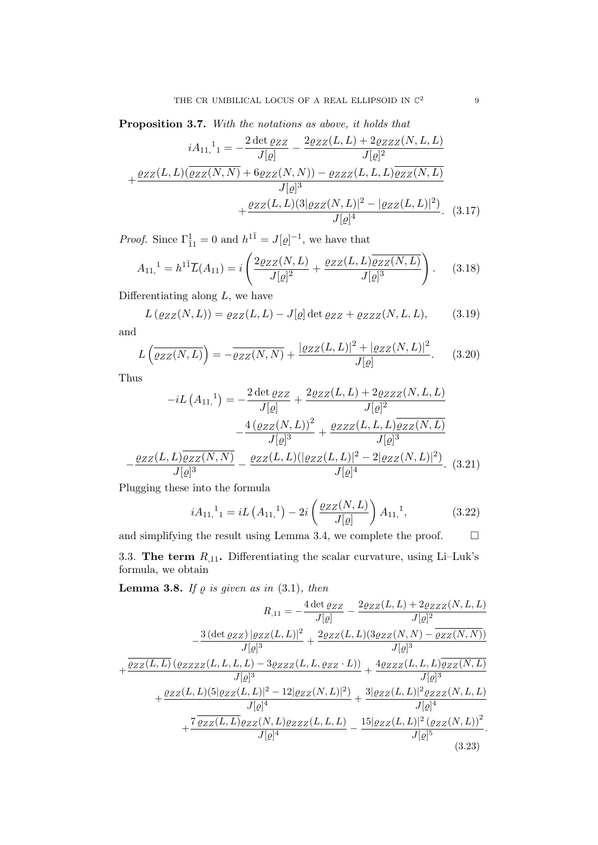Proposition 3.7. With the notations as above, it holds that

$$
iA_{11,}{}^{1} = -\frac{2 \det \varrho_{ZZ}}{J[\varrho]} - \frac{2 \varrho_{ZZ}(L,L) + 2 \varrho_{ZZZ}(N,L,L)}{J[\varrho]^{2}}
$$

$$
+ \frac{\varrho_{ZZ}(L,L)(\overline{\varrho_{ZZ}(N,N)} + 6 \varrho_{ZZ}(N,N)) - \varrho_{ZZZ}(L,L,L)\overline{\varrho_{ZZ}(N,L)}}{J[\varrho]^{3}}
$$

$$
+ \frac{\varrho_{ZZ}(L,L)(3|\varrho_{ZZ}(N,L)|^{2} - |\varrho_{ZZ}(L,L)|^{2})}{J[\varrho]^{4}}. (3.17)
$$

*Proof.* Since  $\Gamma_{\bar{1}1}^1 = 0$  and  $h^{1\bar{1}} = J[\varrho]^{-1}$ , we have that

$$
A_{11,}^1 = h^{1\bar{1}} \overline{L}(A_{11}) = i \left( \frac{2 \varrho_{ZZ}(N, L)}{J[\varrho]^2} + \frac{\varrho_{ZZ}(L, L) \overline{\varrho_{ZZ}(N, L)}}{J[\varrho]^3} \right). \tag{3.18}
$$

Differentiating along  $L$ , we have

$$
L(\varrho_{ZZ}(N,L)) = \varrho_{ZZ}(L,L) - J[\varrho] \det \varrho_{ZZ} + \varrho_{ZZZ}(N,L,L), \qquad (3.19)
$$

and

$$
L\left(\overline{\varrho_{ZZ}(N,L)}\right) = -\overline{\varrho_{ZZ}(N,N)} + \frac{|\varrho_{ZZ}(L,L)|^2 + |\varrho_{ZZ}(N,L)|^2}{J[\varrho]}.\tag{3.20}
$$

Thus

$$
-iL(A_{11,}^{\dagger}) = -\frac{2 \det \varrho_{ZZ}}{J[\varrho]} + \frac{2\varrho_{ZZ}(L,L) + 2\varrho_{ZZZ}(N,L,L)}{J[\varrho]^2} - \frac{4(\varrho_{ZZ}(N,L))^2}{J[\varrho]^3} + \frac{\varrho_{ZZZ}(L,L,L)\overline{\varrho_{ZZ}(N,L)}}{J[\varrho]^3} - \frac{\varrho_{ZZ}(L,L)\overline{\varrho_{ZZ}(N,N)}}{J[\varrho]^4}.
$$
 (3.21)

Plugging these into the formula

$$
iA_{11,}{}^{1} = iL\left(A_{11,}{}^{1}\right) - 2i\left(\frac{\varrho_{ZZ}(N,L)}{J[\varrho]}\right)A_{11,}{}^{1},\tag{3.22}
$$

and simplifying the result using Lemma 3.4, we complete the proof.  $\Box$ 

3.3. The term  $R_{.11}$ . Differentiating the scalar curvature, using Li-Luk's formula, we obtain

**Lemma 3.8.** If  $\varrho$  is given as in (3.1), then

$$
R_{,11} = -\frac{4 \det \varrho_{ZZ}}{J[\varrho]} - \frac{2\varrho_{ZZ}(L,L) + 2\varrho_{ZZZ}(N,L,L)}{J[\varrho]^2}
$$
  

$$
- \frac{3 (\det \varrho_{ZZ}) |\varrho_{ZZ}(L,L)|^2}{J[\varrho]^3} + \frac{2\varrho_{ZZ}(L,L)(3\varrho_{ZZ}(N,N) - \overline{\varrho_{ZZ}(N,N)})}{J[\varrho]^3}
$$
  

$$
+ \frac{\overline{\varrho_{ZZ}(L,L)} (\varrho_{ZZZZ}(L,L,L,L) - 3\varrho_{ZZZ}(L,L,\varrho_{ZZZ}\cdot L))}{J[\varrho]^3} + \frac{4\varrho_{ZZZ}(L,L,L)\overline{\varrho_{ZZ}(N,L)}}{J[\varrho]^4}
$$
  

$$
+ \frac{7 \overline{\varrho_{ZZ}(L,L)} \varrho_{ZZ}(N,L)|^2 - 12|\varrho_{ZZ}(N,L)|^2)}{J[\varrho]^4} + \frac{7 \overline{\varrho_{ZZ}(L,L)} \varrho_{ZZZ}(N,L)\varrho_{ZZZ}(L,L,L)}{J[\varrho]^4} - \frac{15|\varrho_{ZZ}(L,L)|^2 (\varrho_{ZZ}(N,L))^2}{J[\varrho]^5}.
$$
  
(3.23)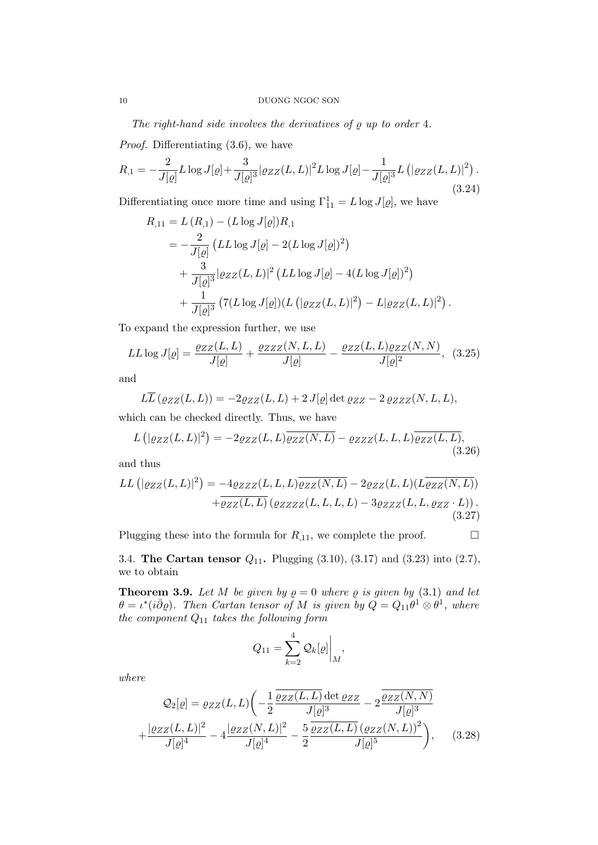The right-hand side involves the derivatives of  $\rho$  up to order 4.

Proof. Differentiating  $(3.6)$ , we have

$$
R_{,1} = -\frac{2}{J[\varrho]} L \log J[\varrho] + \frac{3}{J[\varrho]^3} |\varrho_{ZZ}(L,L)|^2 L \log J[\varrho] - \frac{1}{J[\varrho]^3} L\left(|\varrho_{ZZ}(L,L)|^2\right).
$$
\n(3.24)

Differentiating once more time and using  $\Gamma_{11}^1 = L \log J[\varrho]$ , we have

$$
R_{,11} = L (R_{,1}) - (L \log J[\varrho]) R_{,1}
$$
  
=  $-\frac{2}{J[\varrho]} (LL \log J[\varrho] - 2(L \log J[\varrho])^2)$   
+  $\frac{3}{J[\varrho]^3} |\varrho_{ZZ}(L, L)|^2 (LL \log J[\varrho] - 4(L \log J[\varrho])^2)$   
+  $\frac{1}{J[\varrho]^3} (7(L \log J[\varrho])(L (|\varrho_{ZZ}(L, L)|^2) - L|\varrho_{ZZ}(L, L)|^2).$ 

To expand the expression further, we use

$$
LL \log J[\varrho] = \frac{\varrho_{ZZ}(L, L)}{J[\varrho]} + \frac{\varrho_{ZZZ}(N, L, L)}{J[\varrho]} - \frac{\varrho_{ZZ}(L, L)\varrho_{ZZ}(N, N)}{J[\varrho]^2}, \quad (3.25)
$$

and

$$
L\overline{L}(\varrho_{ZZ}(L,L)) = -2\varrho_{ZZ}(L,L) + 2J[\varrho] \det \varrho_{ZZ} - 2\varrho_{ZZZ}(N,L,L),
$$

which can be checked directly. Thus, we have

$$
L\left(|\varrho_{ZZ}(L,L)|^2\right) = -2\varrho_{ZZ}(L,L)\overline{\varrho_{ZZ}(N,L)} - \varrho_{ZZZ}(L,L,L)\overline{\varrho_{ZZ}(L,L)},\tag{3.26}
$$

and thus

$$
LL\left(|\varrho_{ZZ}(L,L)|^2\right) = -4\varrho_{ZZZ}(L,L,L)\overline{\varrho_{ZZ}(N,L)} - 2\varrho_{ZZ}(L,L)(L\overline{\varrho_{ZZ}(N,L)}) + \overline{\varrho_{ZZ}(L,L)}\left(\varrho_{ZZZ}(L,L,L,L) - 3\varrho_{ZZZ}(L,L,\varrho_{ZZ} \cdot L)\right).
$$
\n(3.27)

Plugging these into the formula for  $R_{,11}$ , we complete the proof.  $\Box$ 

3.4. The Cartan tensor  $Q_{11}$ . Plugging  $(3.10)$ ,  $(3.17)$  and  $(3.23)$  into  $(2.7)$ , we to obtain

**Theorem 3.9.** Let M be given by  $\rho = 0$  where  $\rho$  is given by (3.1) and let  $\theta = \iota^*(i\bar{\partial}\varrho)$ . Then Cartan tensor of M is given by  $\tilde{Q} = Q_{11}\theta^1 \otimes \theta^1$ , where the component  $Q_{11}$  takes the following form

$$
Q_{11} = \sum_{k=2}^{4} \mathcal{Q}_k[\varrho] \bigg|_M,
$$

where

$$
Q_2[\varrho] = \varrho_{ZZ}(L, L) \left( -\frac{1}{2} \frac{\overline{\varrho_{ZZ}(L, L)} \det \varrho_{ZZ}}{J[\varrho]^3} - 2 \frac{\overline{\varrho_{ZZ}(N, N)}}{J[\varrho]^3} + \frac{|\varrho_{ZZ}(L, L)|^2}{J[\varrho]^4} - 4 \frac{|\varrho_{ZZ}(N, L)|^2}{J[\varrho]^4} - \frac{5}{2} \frac{\overline{\varrho_{ZZ}(L, L)} (\varrho_{ZZ}(N, L))^2}{J[\varrho]^5} \right), \quad (3.28)
$$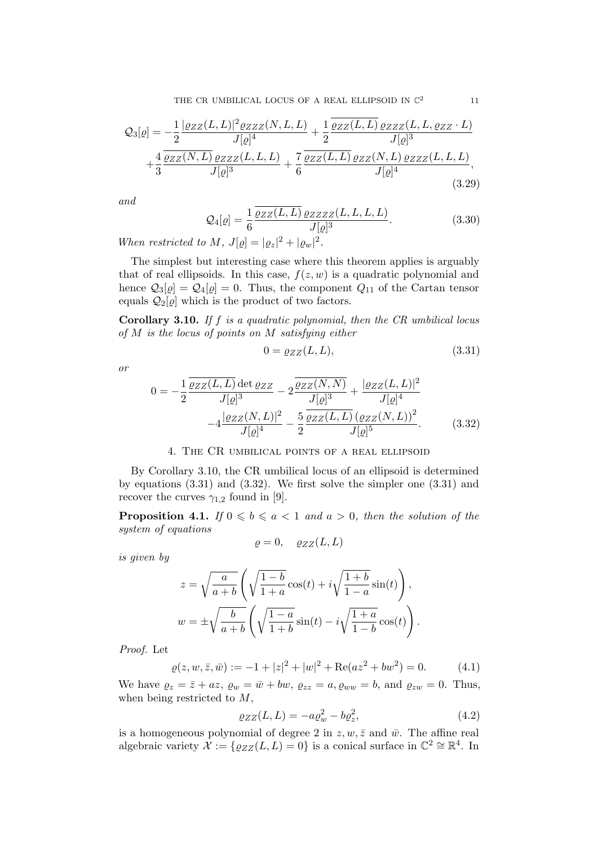$$
\mathcal{Q}_3[\varrho] = -\frac{1}{2} \frac{|\varrho_{ZZ}(L, L)|^2 \varrho_{ZZZ}(N, L, L)}{J[\varrho]^4} + \frac{1}{2} \frac{\overline{\varrho_{ZZ}(L, L)} \varrho_{ZZZ}(L, L, \varrho_{ZZ} \cdot L)}{J[\varrho]^3} + \frac{4}{3} \frac{\overline{\varrho_{ZZ}(N, L)} \varrho_{ZZZ}(L, L, L)}{J[\varrho]^3} + \frac{7}{6} \frac{\overline{\varrho_{ZZ}(L, L)} \varrho_{ZZ}(N, L) \varrho_{ZZZ}(L, L, L)}{J[\varrho]^4},
$$
\n(3.29)

and

$$
\mathcal{Q}_4[\varrho] = \frac{1}{6} \frac{\overline{\varrho_{ZZ}(L, L)} \varrho_{ZZZZ}(L, L, L)}{J[\varrho]^3}.
$$
\n(3.30)

When restricted to M,  $J[\varrho] = |\varrho_z|^2 + |\varrho_w|^2$ .

The simplest but interesting case where this theorem applies is arguably that of real ellipsoids. In this case,  $f(z, w)$  is a quadratic polynomial and hence  $\mathcal{Q}_3[\varrho] = \mathcal{Q}_4[\varrho] = 0$ . Thus, the component  $Q_{11}$  of the Cartan tensor equals  $Q_2[\varrho]$  which is the product of two factors.

**Corollary 3.10.** If f is a quadratic polynomial, then the  $CR$  umbilical locus of M is the locus of points on M satisfying either

$$
0 = \varrho_{ZZ}(L, L),\tag{3.31}
$$

or

$$
0 = -\frac{1}{2} \frac{\overline{\varrho_{ZZ}(L, L)} \det \varrho_{ZZ}}{J[\varrho]^3} - 2 \frac{\overline{\varrho_{ZZ}(N, N)}}{J[\varrho]^3} + \frac{|\varrho_{ZZ}(L, L)|^2}{J[\varrho]^4} - 4 \frac{|\varrho_{ZZ}(N, L)|^2}{J[\varrho]^4} - \frac{5}{2} \frac{\overline{\varrho_{ZZ}(L, L)} (\varrho_{ZZ}(N, L))^2}{J[\varrho]^5}.
$$
 (3.32)

# 4. The CR umbilical points of a real ellipsoid

By Corollary 3.10, the CR umbilical locus of an ellipsoid is determined by equations (3.31) and (3.32). We first solve the simpler one (3.31) and recover the curves  $\gamma_{1,2}$  found in [9].

**Proposition 4.1.** If  $0 \leq b \leq a < 1$  and  $a > 0$ , then the solution of the system of equations

$$
\varrho = 0, \quad \varrho_{ZZ}(L, L)
$$

is given by

$$
z = \sqrt{\frac{a}{a+b}} \left( \sqrt{\frac{1-b}{1+a}} \cos(t) + i \sqrt{\frac{1+b}{1-a}} \sin(t) \right),
$$
  

$$
w = \pm \sqrt{\frac{b}{a+b}} \left( \sqrt{\frac{1-a}{1+b}} \sin(t) - i \sqrt{\frac{1+a}{1-b}} \cos(t) \right).
$$

Proof. Let

$$
\varrho(z, w, \bar{z}, \bar{w}) := -1 + |z|^2 + |w|^2 + \text{Re}(az^2 + bw^2) = 0. \tag{4.1}
$$

We have  $\varrho_z = \bar{z} + az$ ,  $\varrho_w = \bar{w} + bw$ ,  $\varrho_{zz} = a$ ,  $\varrho_{ww} = b$ , and  $\varrho_{zw} = 0$ . Thus, when being restricted to M,

$$
\varrho_{ZZ}(L,L) = -a\varrho_w^2 - b\varrho_z^2,\tag{4.2}
$$

is a homogeneous polynomial of degree 2 in  $z, w, \bar{z}$  and  $\bar{w}$ . The affine real algebraic variety  $\mathcal{X} := \{ \varrho_{ZZ}(L,L) = 0 \}$  is a conical surface in  $\mathbb{C}^2 \cong \mathbb{R}^4$ . In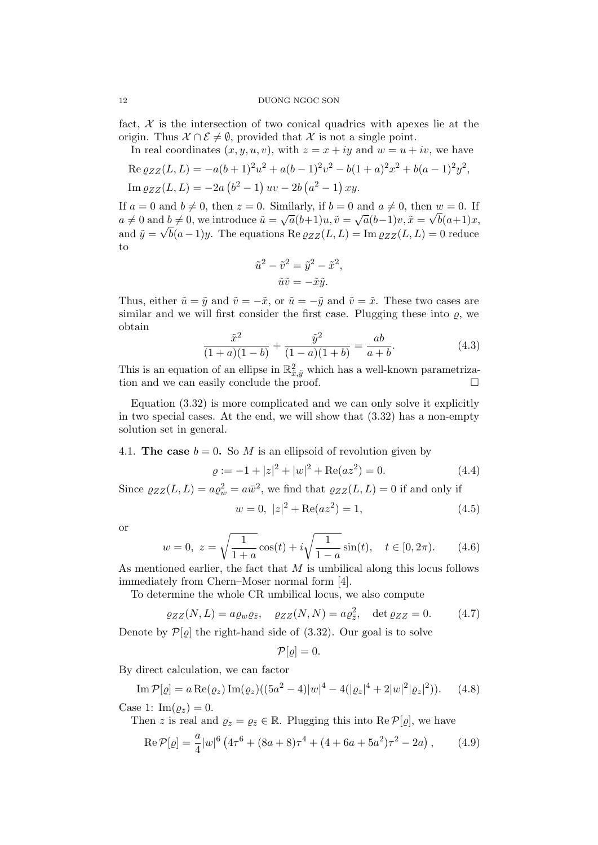fact,  $\mathcal X$  is the intersection of two conical quadrics with apexes lie at the origin. Thus  $\mathcal{X} \cap \mathcal{E} \neq \emptyset$ , provided that X is not a single point.

In real coordinates  $(x, y, u, v)$ , with  $z = x + iy$  and  $w = u + iv$ , we have

Re 
$$
\varrho_{ZZ}(L, L) = -a(b+1)^2 u^2 + a(b-1)^2 v^2 - b(1+a)^2 x^2 + b(a-1)^2 y^2
$$
,  
Im  $\varrho_{ZZ}(L, L) = -2a(b^2 - 1) uv - 2b(a^2 - 1) xy$ .

If  $a = 0$  and  $b \neq 0$ , then  $z = 0$ . Similarly, if  $b = 0$  and  $a \neq 0$ , then  $w = 0$ . If  $a \neq 0$  and  $b \neq 0$ , we introduce  $\tilde{u} = \sqrt{a(b+1)}u$ ,  $\tilde{v} = \sqrt{a(b-1)}v$ ,  $\tilde{x} = \sqrt{b(a+1)}x$ , and  $\tilde{y} = \sqrt{b(a-1)y}$ . The equations Re  $\varrho_{ZZ}(L, L) = \text{Im } \varrho_{ZZ}(L, L) = 0$  reduce to

$$
\tilde{u}^2 - \tilde{v}^2 = \tilde{y}^2 - \tilde{x}^2,
$$
  

$$
\tilde{u}\tilde{v} = -\tilde{x}\tilde{y}.
$$

Thus, either  $\tilde{u} = \tilde{y}$  and  $\tilde{v} = -\tilde{x}$ , or  $\tilde{u} = -\tilde{y}$  and  $\tilde{v} = \tilde{x}$ . These two cases are similar and we will first consider the first case. Plugging these into  $\varrho$ , we obtain

$$
\frac{\tilde{x}^2}{(1+a)(1-b)} + \frac{\tilde{y}^2}{(1-a)(1+b)} = \frac{ab}{a+b}.\tag{4.3}
$$

This is an equation of an ellipse in  $\mathbb{R}^2_{\tilde{x},\tilde{y}}$  which has a well-known parametrization and we can easily conclude the proof.  $\Box$ 

Equation (3.32) is more complicated and we can only solve it explicitly in two special cases. At the end, we will show that (3.32) has a non-empty solution set in general.

4.1. The case  $b = 0$ . So M is an ellipsoid of revolution given by

$$
\varrho := -1 + |z|^2 + |w|^2 + \text{Re}(az^2) = 0. \tag{4.4}
$$

Since  $\varrho_{ZZ}(L,L) = a\varrho_w^2 = a\bar{w}^2$ , we find that  $\varrho_{ZZ}(L,L) = 0$  if and only if

$$
w = 0, \ |z|^2 + \text{Re}(az^2) = 1,\tag{4.5}
$$

or

$$
w = 0, \ z = \sqrt{\frac{1}{1+a}} \cos(t) + i\sqrt{\frac{1}{1-a}} \sin(t), \quad t \in [0, 2\pi). \tag{4.6}
$$

As mentioned earlier, the fact that  $M$  is umbilical along this locus follows immediately from Chern–Moser normal form [4].

To determine the whole CR umbilical locus, we also compute

$$
\varrho_{ZZ}(N,L) = a\varrho_w\varrho_{\bar{z}}, \quad \varrho_{ZZ}(N,N) = a\varrho_{\bar{z}}^2, \quad \det\varrho_{ZZ} = 0. \tag{4.7}
$$

Denote by  $\mathcal{P}[\rho]$  the right-hand side of (3.32). Our goal is to solve

$$
\mathcal{P}[\varrho]=0.
$$

By direct calculation, we can factor

Im 
$$
\mathcal{P}[\varrho] = a \operatorname{Re}(\varrho_z) \operatorname{Im}(\varrho_z) ((5a^2 - 4)|w|^4 - 4(|\varrho_z|^4 + 2|w|^2|\varrho_z|^2)).
$$
 (4.8)

Case 1:  $\text{Im}(\rho_z) = 0$ .

Then z is real and  $\varrho_z = \varrho_{\bar{z}} \in \mathbb{R}$ . Plugging this into Re  $\mathcal{P}[\varrho]$ , we have

$$
\operatorname{Re} \mathcal{P}[\varrho] = \frac{a}{4} |w|^6 \left( 4\tau^6 + (8a + 8)\tau^4 + (4 + 6a + 5a^2)\tau^2 - 2a \right), \tag{4.9}
$$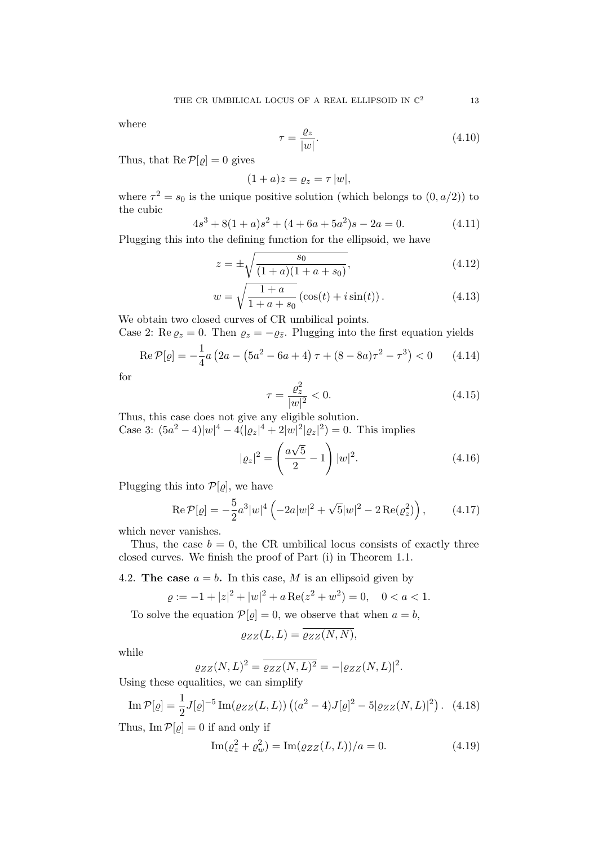where

$$
\tau = \frac{\varrho_z}{|w|}.\tag{4.10}
$$

Thus, that  $\text{Re}\,\mathcal{P}[\varrho]=0$  gives

$$
(1+a)z = \varrho_z = \tau |w|,
$$

where  $\tau^2 = s_0$  is the unique positive solution (which belongs to  $(0, a/2)$ ) to the cubic

$$
4s3 + 8(1+a)s2 + (4+6a+5a2)s - 2a = 0.
$$
 (4.11)

Plugging this into the defining function for the ellipsoid, we have

$$
z = \pm \sqrt{\frac{s_0}{(1+a)(1+a+s_0)}},
$$
\n(4.12)

$$
w = \sqrt{\frac{1+a}{1+a+s_0}} (\cos(t) + i \sin(t)).
$$
 (4.13)

We obtain two closed curves of CR umbilical points.

Case 2: Re  $\varrho_z = 0$ . Then  $\varrho_z = -\varrho_{\bar{z}}$ . Plugging into the first equation yields

$$
\operatorname{Re} \mathcal{P}[\varrho] = -\frac{1}{4}a\left(2a - \left(5a^2 - 6a + 4\right)\tau + (8 - 8a)\tau^2 - \tau^3\right) < 0 \tag{4.14}
$$

for

$$
\tau = \frac{\varrho_z^2}{|w|^2} < 0. \tag{4.15}
$$

Thus, this case does not give any eligible solution. Case 3:  $(5a^2 - 4)|w|^4 - 4(|\varrho_z|^4 + 2|w|^2|\varrho_z|^2) = 0$ . This implies

$$
|\varrho_{z}|^{2} = \left(\frac{a\sqrt{5}}{2} - 1\right)|w|^{2}.
$$
 (4.16)

Plugging this into  $\mathcal{P}[\varrho]$ , we have

$$
\operatorname{Re} \mathcal{P}[\varrho] = -\frac{5}{2}a^3|w|^4 \left( -2a|w|^2 + \sqrt{5}|w|^2 - 2\operatorname{Re}(\varrho_z^2) \right),\tag{4.17}
$$

which never vanishes.

Thus, the case  $b = 0$ , the CR umbilical locus consists of exactly three closed curves. We finish the proof of Part (i) in Theorem 1.1.

4.2. The case  $a = b$ . In this case, M is an ellipsoid given by

$$
\varrho := -1 + |z|^2 + |w|^2 + a \operatorname{Re}(z^2 + w^2) = 0, \quad 0 < a < 1.
$$

To solve the equation  $\mathcal{P}[\varrho] = 0$ , we observe that when  $a = b$ ,

$$
\varrho_{ZZ}(L,L) = \overline{\varrho_{ZZ}(N,N)},
$$

while

$$
\varrho_{ZZ}(N,L)^2 = \overline{\varrho_{ZZ}(N,L)^2} = -|\varrho_{ZZ}(N,L)|^2.
$$

Using these equalities, we can simplify

Im 
$$
\mathcal{P}[\varrho] = \frac{1}{2} J[\varrho]^{-5} \text{Im}(\varrho_{ZZ}(L, L)) ((a^2 - 4)J[\varrho]^2 - 5|\varrho_{ZZ}(N, L)|^2)
$$
. (4.18)

Thus,  $\text{Im } \mathcal{P}[\varrho] = 0$  if and only if

$$
\operatorname{Im}(\varrho_z^2 + \varrho_w^2) = \operatorname{Im}(\varrho_{ZZ}(L, L))/a = 0. \tag{4.19}
$$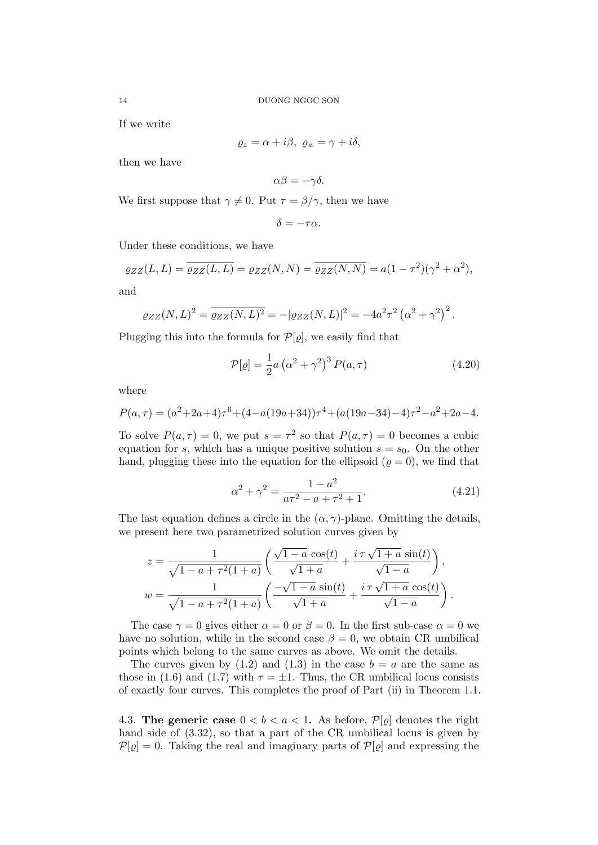If we write

$$
\varrho_z = \alpha + i\beta, \ \varrho_w = \gamma + i\delta,
$$

then we have

$$
\alpha\beta = -\gamma\delta.
$$

We first suppose that  $\gamma \neq 0$ . Put  $\tau = \beta/\gamma$ , then we have

$$
\delta = -\tau \alpha.
$$

Under these conditions, we have

$$
\varrho_{ZZ}(L,L) = \overline{\varrho_{ZZ}(L,L)} = \varrho_{ZZ}(N,N) = \overline{\varrho_{ZZ}(N,N)} = a(1-\tau^2)(\gamma^2 + \alpha^2),
$$

and

$$
\varrho_{ZZ}(N,L)^2 = \overline{\varrho_{ZZ}(N,L)^2} = -|\varrho_{ZZ}(N,L)|^2 = -4a^2\tau^2 \left(\alpha^2 + \gamma^2\right)^2.
$$

Plugging this into the formula for  $\mathcal{P}[\varrho]$ , we easily find that

$$
\mathcal{P}[\varrho] = \frac{1}{2}a\left(\alpha^2 + \gamma^2\right)^3 P(a, \tau) \tag{4.20}
$$

where

$$
P(a,\tau) = (a^2 + 2a + 4)\tau^6 + (4 - a(19a + 34))\tau^4 + (a(19a - 34) - 4)\tau^2 - a^2 + 2a - 4.
$$

To solve  $P(a,\tau) = 0$ , we put  $s = \tau^2$  so that  $P(a,\tau) = 0$  becomes a cubic equation for s, which has a unique positive solution  $s = s_0$ . On the other hand, plugging these into the equation for the ellipsoid ( $\rho = 0$ ), we find that

$$
\alpha^2 + \gamma^2 = \frac{1 - a^2}{a\tau^2 - a + \tau^2 + 1}.\tag{4.21}
$$

The last equation defines a circle in the  $(\alpha, \gamma)$ -plane. Omitting the details, we present here two parametrized solution curves given by

$$
z = \frac{1}{\sqrt{1 - a + \tau^2 (1 + a)}} \left( \frac{\sqrt{1 - a} \cos(t)}{\sqrt{1 + a}} + \frac{i \tau \sqrt{1 + a} \sin(t)}{\sqrt{1 - a}} \right),
$$
  

$$
w = \frac{1}{\sqrt{1 - a + \tau^2 (1 + a)}} \left( \frac{-\sqrt{1 - a} \sin(t)}{\sqrt{1 + a}} + \frac{i \tau \sqrt{1 + a} \cos(t)}{\sqrt{1 - a}} \right).
$$

The case  $\gamma = 0$  gives either  $\alpha = 0$  or  $\beta = 0$ . In the first sub-case  $\alpha = 0$  we have no solution, while in the second case  $\beta = 0$ , we obtain CR umbilical points which belong to the same curves as above. We omit the details.

The curves given by  $(1.2)$  and  $(1.3)$  in the case  $b = a$  are the same as those in (1.6) and (1.7) with  $\tau = \pm 1$ . Thus, the CR umbilical locus consists of exactly four curves. This completes the proof of Part (ii) in Theorem 1.1.

4.3. The generic case  $0 < b < a < 1$ . As before,  $\mathcal{P}[\rho]$  denotes the right hand side of (3.32), so that a part of the CR umbilical locus is given by  $\mathcal{P}[\varrho] = 0$ . Taking the real and imaginary parts of  $\mathcal{P}[\varrho]$  and expressing the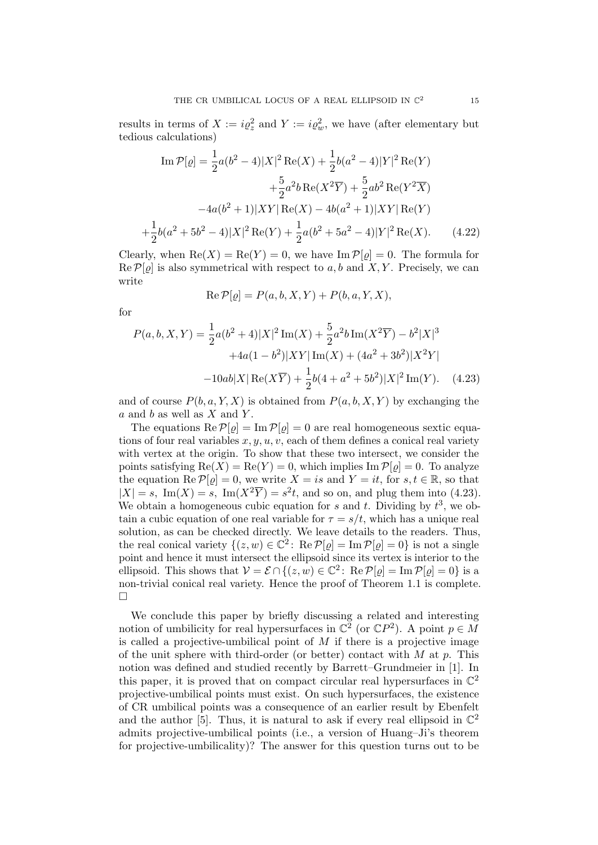results in terms of  $X := i\varrho_z^2$  and  $Y := i\varrho_w^2$ , we have (after elementary but tedious calculations)

Im 
$$
\mathcal{P}[\varrho] = \frac{1}{2}a(b^2 - 4)|X|^2 \text{Re}(X) + \frac{1}{2}b(a^2 - 4)|Y|^2 \text{Re}(Y)
$$
  
  $+ \frac{5}{2}a^2b \text{Re}(X^2\overline{Y}) + \frac{5}{2}ab^2 \text{Re}(Y^2\overline{X})$   
  $-4a(b^2 + 1)|XY|\text{Re}(X) - 4b(a^2 + 1)|XY|\text{Re}(Y)$   
  $\frac{1}{2}b(a^2 + 5b^2 - 4)|X|^2 \text{Re}(Y) + \frac{1}{2}a(b^2 + 5a^2 - 4)|Y|^2 \text{Re}(X).$  (4.22)

Clearly, when  $\text{Re}(X) = \text{Re}(Y) = 0$ , we have  $\text{Im } \mathcal{P}[\varrho] = 0$ . The formula for  $\text{Re}\,\mathcal{P}[\varrho]$  is also symmetrical with respect to a, b and X, Y. Precisely, we can write

$$
Re \mathcal{P}[\varrho] = P(a, b, X, Y) + P(b, a, Y, X),
$$

for

 $+$ 

$$
P(a, b, X, Y) = \frac{1}{2}a(b^2 + 4)|X|^2 \operatorname{Im}(X) + \frac{5}{2}a^2b \operatorname{Im}(X^2\overline{Y}) - b^2|X|^3
$$

$$
+ 4a(1 - b^2)|XY|\operatorname{Im}(X) + (4a^2 + 3b^2)|X^2Y|
$$

$$
- 10ab|X|\operatorname{Re}(X\overline{Y}) + \frac{1}{2}b(4 + a^2 + 5b^2)|X|^2 \operatorname{Im}(Y). \quad (4.23)
$$

and of course  $P(b, a, Y, X)$  is obtained from  $P(a, b, X, Y)$  by exchanging the  $a$  and  $b$  as well as  $X$  and  $Y$ .

The equations  $\text{Re}\,\mathcal{P}[\varrho] = \text{Im}\,\mathcal{P}[\varrho] = 0$  are real homogeneous sextic equations of four real variables  $x, y, u, v$ , each of them defines a conical real variety with vertex at the origin. To show that these two intersect, we consider the points satisfying  $\text{Re}(X) = \text{Re}(Y) = 0$ , which implies  $\text{Im } \mathcal{P}[\varrho] = 0$ . To analyze the equation  $\text{Re } \mathcal{P}[\varrho] = 0$ , we write  $X = is$  and  $Y = it$ , for  $s, t \in \mathbb{R}$ , so that  $|X| = s$ , Im(X) = s, Im(X<sup>2</sup> $\overline{Y}$ ) = s<sup>2</sup>t, and so on, and plug them into (4.23). We obtain a homogeneous cubic equation for s and t. Dividing by  $t^3$ , we obtain a cubic equation of one real variable for  $\tau = s/t$ , which has a unique real solution, as can be checked directly. We leave details to the readers. Thus, the real conical variety  $\{(z,w) \in \mathbb{C}^2 \colon \text{Re}\,\mathcal{P}[\varrho] = \text{Im}\,\mathcal{P}[\varrho] = 0\}$  is not a single point and hence it must intersect the ellipsoid since its vertex is interior to the ellipsoid. This shows that  $V = \mathcal{E} \cap \{(z,w) \in \mathbb{C}^2 \colon \text{Re } \mathcal{P}[\varrho] = \text{Im } \mathcal{P}[\varrho] = 0\}$  is a non-trivial conical real variety. Hence the proof of Theorem 1.1 is complete. □

We conclude this paper by briefly discussing a related and interesting notion of umbilicity for real hypersurfaces in  $\mathbb{C}^2$  (or  $\mathbb{C}P^2$ ). A point  $p \in M$ is called a projective-umbilical point of  $M$  if there is a projective image of the unit sphere with third-order (or better) contact with  $M$  at  $p$ . This notion was defined and studied recently by Barrett–Grundmeier in [1]. In this paper, it is proved that on compact circular real hypersurfaces in  $\mathbb{C}^2$ projective-umbilical points must exist. On such hypersurfaces, the existence of CR umbilical points was a consequence of an earlier result by Ebenfelt and the author [5]. Thus, it is natural to ask if every real ellipsoid in  $\mathbb{C}^2$ admits projective-umbilical points (i.e., a version of Huang–Ji's theorem for projective-umbilicality)? The answer for this question turns out to be